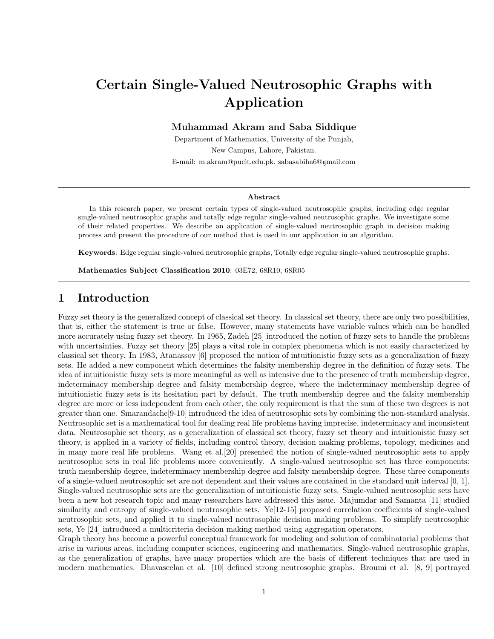# Certain Single-Valued Neutrosophic Graphs with Application

Muhammad Akram and Saba Siddique

Department of Mathematics, University of the Punjab, New Campus, Lahore, Pakistan. E-mail: m.akram@pucit.edu.pk, sabasabiha6@gmail.com

#### Abstract

In this research paper, we present certain types of single-valued neutrosophic graphs, including edge regular single-valued neutrosophic graphs and totally edge regular single-valued neutrosophic graphs. We investigate some of their related properties. We describe an application of single-valued neutrosophic graph in decision making process and present the procedure of our method that is used in our application in an algorithm.

Keywords: Edge regular single-valued neutrosophic graphs, Totally edge regular single-valued neutrosophic graphs.

Mathematics Subject Classification 2010: 03E72, 68R10, 68R05

## 1 Introduction

Fuzzy set theory is the generalized concept of classical set theory. In classical set theory, there are only two possibilities, that is, either the statement is true or false. However, many statements have variable values which can be handled more accurately using fuzzy set theory. In 1965, Zadeh [25] introduced the notion of fuzzy sets to handle the problems with uncertainties. Fuzzy set theory [25] plays a vital role in complex phenomena which is not easily characterized by classical set theory. In 1983, Atanassov [6] proposed the notion of intuitionistic fuzzy sets as a generalization of fuzzy sets. He added a new component which determines the falsity membership degree in the definition of fuzzy sets. The idea of intuitionistic fuzzy sets is more meaningful as well as intensive due to the presence of truth membership degree, indeterminacy membership degree and falsity membership degree, where the indeterminacy membership degree of intuitionistic fuzzy sets is its hesitation part by default. The truth membership degree and the falsity membership degree are more or less independent from each other, the only requirement is that the sum of these two degrees is not greater than one. Smarandache[9-10] introduced the idea of neutrosophic sets by combining the non-standard analysis. Neutrosophic set is a mathematical tool for dealing real life problems having imprecise, indeterminacy and inconsistent data. Neutrosophic set theory, as a generalization of classical set theory, fuzzy set theory and intuitionistic fuzzy set theory, is applied in a variety of fields, including control theory, decision making problems, topology, medicines and in many more real life problems. Wang et al.[20] presented the notion of single-valued neutrosophic sets to apply neutrosophic sets in real life problems more conveniently. A single-valued neutrosophic set has three components: truth membership degree, indeterminacy membership degree and falsity membership degree. These three components of a single-valued neutrosophic set are not dependent and their values are contained in the standard unit interval [0, 1]. Single-valued neutrosophic sets are the generalization of intuitionistic fuzzy sets. Single-valued neutrosophic sets have been a new hot research topic and many researchers have addressed this issue. Majumdar and Samanta [11] studied similarity and entropy of single-valued neutrosophic sets. Ye[12-15] proposed correlation coefficients of single-valued neutrosophic sets, and applied it to single-valued neutrosophic decision making problems. To simplify neutrosophic sets, Ye [24] introduced a multicriteria decision making method using aggregation operators.

Graph theory has become a powerful conceptual framework for modeling and solution of combinatorial problems that arise in various areas, including computer sciences, engineering and mathematics. Single-valued neutrosophic graphs, as the generalization of graphs, have many properties which are the basis of different techniques that are used in modern mathematics. Dhavaseelan et al. [10] defined strong neutrosophic graphs. Broumi et al. [8, 9] portrayed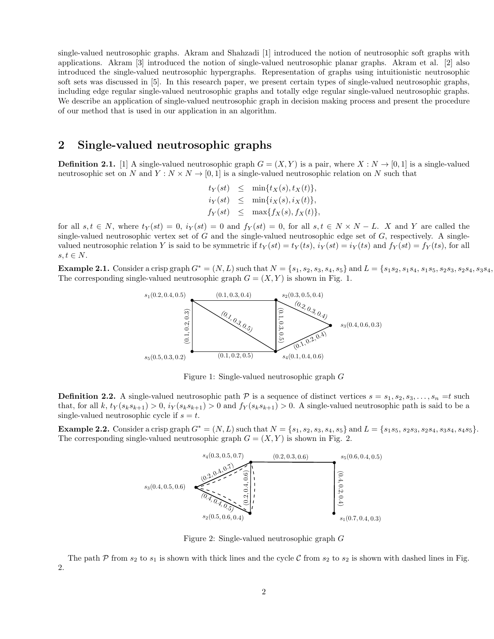single-valued neutrosophic graphs. Akram and Shahzadi [1] introduced the notion of neutrosophic soft graphs with applications. Akram [3] introduced the notion of single-valued neutrosophic planar graphs. Akram et al. [2] also introduced the single-valued neutrosophic hypergraphs. Representation of graphs using intuitionistic neutrosophic soft sets was discussed in [5]. In this research paper, we present certain types of single-valued neutrosophic graphs, including edge regular single-valued neutrosophic graphs and totally edge regular single-valued neutrosophic graphs. We describe an application of single-valued neutrosophic graph in decision making process and present the procedure of our method that is used in our application in an algorithm.

### 2 Single-valued neutrosophic graphs

**Definition 2.1.** [1] A single-valued neutrosophic graph  $G = (X, Y)$  is a pair, where  $X : N \to [0, 1]$  is a single-valued neutrosophic set on N and  $Y: N \times N \to [0, 1]$  is a single-valued neutrosophic relation on N such that

$$
t_Y(st) \leq \min\{t_X(s), t_X(t)\},
$$
  

$$
i_Y(st) \leq \min\{i_X(s), i_X(t)\},
$$
  

$$
f_Y(st) \leq \max\{f_X(s), f_X(t)\},
$$

for all  $s, t \in N$ , where  $t_Y(st) = 0$ ,  $i_Y(st) = 0$  and  $f_Y(st) = 0$ , for all  $s, t \in N \times N - L$ . X and Y are called the single-valued neutrosophic vertex set of  $G$  and the single-valued neutrosophic edge set of  $G$ , respectively. A singlevalued neutrosophic relation Y is said to be symmetric if  $t_Y(st) = t_Y(ts)$ ,  $i_Y(st) = i_Y(ts)$  and  $f_Y(st) = f_Y(ts)$ , for all  $s, t \in N$ .

**Example 2.1.** Consider a crisp graph  $G^* = (N, L)$  such that  $N = \{s_1, s_2, s_3, s_4, s_5\}$  and  $L = \{s_1s_2, s_1s_4, s_1s_5, s_2s_3, s_2s_4, s_3s_4, s_4s_5, s_5s_6, s_6s_7, s_7s_8, s_8s_9, s_9s_9, s_1s_9, s_1s_9, s_1s_9, s_1s_9, s_1s_9, s_1s_$ The corresponding single-valued neutrosophic graph  $G = (X, Y)$  is shown in Fig. 1.



Figure 1: Single-valued neutrosophic graph G

**Definition 2.2.** A single-valued neutrosophic path  $\mathcal{P}$  is a sequence of distinct vertices  $s = s_1, s_2, s_3, \ldots, s_n = t$  such that, for all k,  $t_Y(s_ks_{k+1}) > 0$ ,  $i_Y(s_ks_{k+1}) > 0$  and  $f_Y(s_ks_{k+1}) > 0$ . A single-valued neutrosophic path is said to be a single-valued neutrosophic cycle if  $s = t$ .

**Example 2.2.** Consider a crisp graph  $G^* = (N, L)$  such that  $N = \{s_1, s_2, s_3, s_4, s_5\}$  and  $L = \{s_1s_5, s_2s_3, s_2s_4, s_3s_4, s_4s_5\}.$ The corresponding single-valued neutrosophic graph  $G = (X, Y)$  is shown in Fig. 2.



Figure 2: Single-valued neutrosophic graph G

The path  $P$  from  $s_2$  to  $s_1$  is shown with thick lines and the cycle  $C$  from  $s_2$  to  $s_2$  is shown with dashed lines in Fig. 2.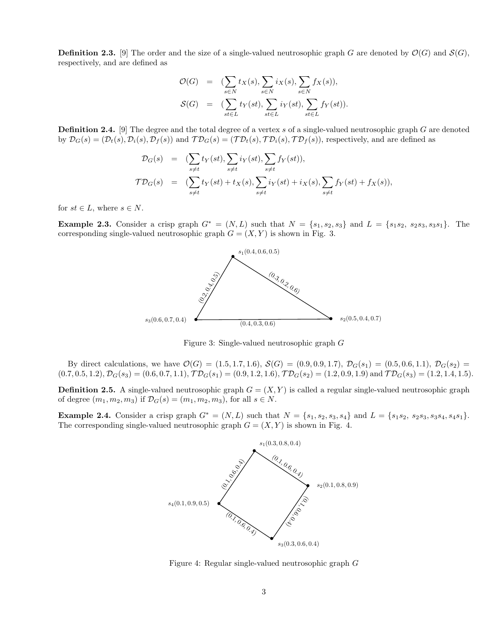**Definition 2.3.** [9] The order and the size of a single-valued neutrosophic graph G are denoted by  $\mathcal{O}(G)$  and  $\mathcal{S}(G)$ , respectively, and are defined as

$$
\mathcal{O}(G) = (\sum_{s \in N} t_X(s), \sum_{s \in N} i_X(s), \sum_{s \in N} f_X(s)),
$$
  

$$
\mathcal{S}(G) = (\sum_{st \in L} t_Y(st), \sum_{st \in L} i_Y(st), \sum_{st \in L} f_Y(st)).
$$

**Definition 2.4.** [9] The degree and the total degree of a vertex s of a single-valued neutrosophic graph  $G$  are denoted by  $\mathcal{D}_G(s) = (\mathcal{D}_t(s), \mathcal{D}_i(s), \mathcal{D}_f(s))$  and  $\mathcal{TD}_G(s) = (\mathcal{TD}_t(s), \mathcal{TD}_i(s), \mathcal{TD}_f(s))$ , respectively, and are defined as

$$
\mathcal{D}_G(s) = (\sum_{s \neq t} t_Y(st), \sum_{s \neq t} i_Y(st), \sum_{s \neq t} f_Y(st)),
$$
  

$$
\mathcal{TD}_G(s) = (\sum_{s \neq t} t_Y(st) + t_X(s), \sum_{s \neq t} i_Y(st) + i_X(s), \sum_{s \neq t} f_Y(st) + f_X(s)),
$$

for  $st \in L$ , where  $s \in N$ .

**Example 2.3.** Consider a crisp graph  $G^* = (N, L)$  such that  $N = \{s_1, s_2, s_3\}$  and  $L = \{s_1s_2, s_2s_3, s_3s_1\}$ . The corresponding single-valued neutrosophic graph  $G = (X, Y)$  is shown in Fig. 3.



Figure 3: Single-valued neutrosophic graph G

By direct calculations, we have  $\mathcal{O}(G) = (1.5, 1.7, 1.6), S(G) = (0.9, 0.9, 1.7), \mathcal{D}_G(s_1) = (0.5, 0.6, 1.1), \mathcal{D}_G(s_2) =$  $(0.7, 0.5, 1.2), \mathcal{D}_{G}(s_3) = (0.6, 0.7, 1.1), \mathcal{TD}_{G}(s_1) = (0.9, 1.2, 1.6), \mathcal{TD}_{G}(s_2) = (1.2, 0.9, 1.9) \text{ and } \mathcal{TD}_{G}(s_3) = (1.2, 1.4, 1.5).$ 

**Definition 2.5.** A single-valued neutrosophic graph  $G = (X, Y)$  is called a regular single-valued neutrosophic graph of degree  $(m_1, m_2, m_3)$  if  $\mathcal{D}_G(s) = (m_1, m_2, m_3)$ , for all  $s \in N$ .

Example 2.4. Consider a crisp graph  $G^* = (N, L)$  such that  $N = \{s_1, s_2, s_3, s_4\}$  and  $L = \{s_1s_2, s_2s_3, s_3s_4, s_4s_1\}.$ The corresponding single-valued neutrosophic graph  $G = (X, Y)$  is shown in Fig. 4.



Figure 4: Regular single-valued neutrosophic graph G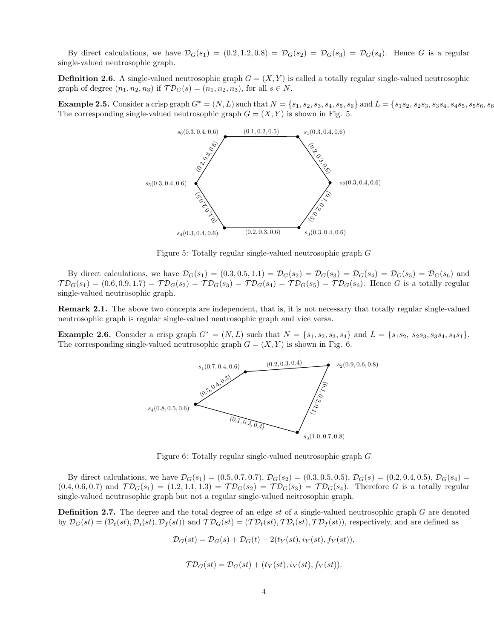By direct calculations, we have  $\mathcal{D}_G(s_1) = (0.2, 1.2, 0.8) = \mathcal{D}_G(s_2) = \mathcal{D}_G(s_3) = \mathcal{D}_G(s_4)$ . Hence G is a regular single-valued neutrosophic graph.

**Definition 2.6.** A single-valued neutrosophic graph  $G = (X, Y)$  is called a totally regular single-valued neutrosophic graph of degree  $(n_1, n_2, n_3)$  if  $\mathcal{TD}_G(s) = (n_1, n_2, n_3)$ , for all  $s \in N$ .

**Example 2.5.** Consider a crisp graph  $G^* = (N, L)$  such that  $N = \{s_1, s_2, s_3, s_4, s_5, s_6\}$  and  $L = \{s_1s_2, s_2s_3, s_3s_4, s_4s_5, s_5s_6, s_6s_7, s_7s_8, s_8s_9, s_9s_9, s_9s_9, s_1s_9, s_1s_9, s_1s_9, s_1s_9, s_1s_9, s_1s_9, s_1s_9, s$ The corresponding single-valued neutrosophic graph  $G = (X, Y)$  is shown in Fig. 5.



Figure 5: Totally regular single-valued neutrosophic graph G

By direct calculations, we have  $\mathcal{D}_G(s_1) = (0.3, 0.5, 1.1) = \mathcal{D}_G(s_2) = \mathcal{D}_G(s_3) = \mathcal{D}_G(s_4) = \mathcal{D}_G(s_5) = \mathcal{D}_G(s_6)$  and  $TD_G(s_1) = (0.6, 0.9, 1.7) = TD_G(s_2) = TD_G(s_3) = TD_G(s_4) = TD_G(s_5) = TD_G(s_6)$ . Hence G is a totally regular single-valued neutrosophic graph.

Remark 2.1. The above two concepts are independent, that is, it is not necessary that totally regular single-valued neutrosophic graph is regular single-valued neutrosophic graph and vice versa.

**Example 2.6.** Consider a crisp graph  $G^* = (N, L)$  such that  $N = \{s_1, s_2, s_3, s_4\}$  and  $L = \{s_1s_2, s_2s_3, s_3s_4, s_4s_1\}$ . The corresponding single-valued neutrosophic graph  $G = (X, Y)$  is shown in Fig. 6.



Figure 6: Totally regular single-valued neutrosophic graph G

By direct calculations, we have  $\mathcal{D}_G(s_1) = (0.5, 0.7, 0.7), \mathcal{D}_G(s_2) = (0.3, 0.5, 0.5), \mathcal{D}_G(s) = (0.2, 0.4, 0.5), \mathcal{D}_G(s_4) =$  $(0.4, 0.6, 0.7)$  and  $\mathcal{TD}_G(s_1) = (1.2, 1.1, 1.3) = \mathcal{TD}_G(s_2) = \mathcal{TD}_G(s_3) = \mathcal{TD}_G(s_4)$ . Therefore G is a totally regular single-valued neutrosophic graph but not a regular single-valued neitrosophic graph.

**Definition 2.7.** The degree and the total degree of an edge st of a single-valued neutrosophic graph G are denoted by  $\mathcal{D}_G(st) = (\mathcal{D}_t(st), \mathcal{D}_t(st), \mathcal{D}_f(st))$  and  $\mathcal{TD}_G(st) = (\mathcal{TD}_t(st), \mathcal{TD}_i(st), \mathcal{TD}_f(st))$ , respectively, and are defined as

$$
\mathcal{D}_G(st) = \mathcal{D}_G(s) + \mathcal{D}_G(t) - 2(t_Y(st), i_Y(st), f_Y(st)),
$$

$$
\mathcal{T}\mathcal{D}_G(st) = \mathcal{D}_G(st) + (t_Y(st), i_Y(st), f_Y(st)).
$$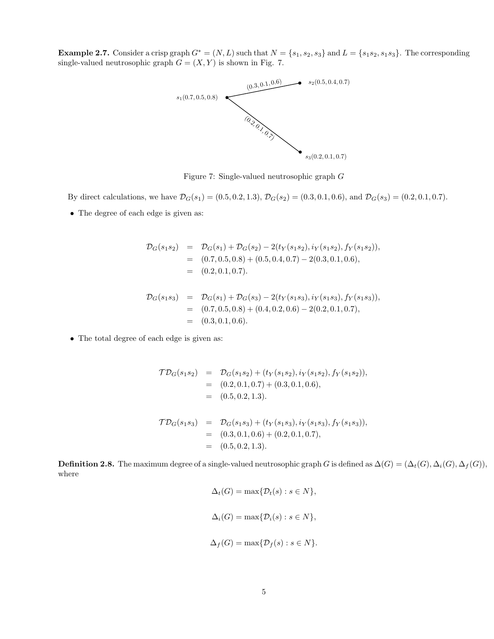Example 2.7. Consider a crisp graph  $G^* = (N, L)$  such that  $N = \{s_1, s_2, s_3\}$  and  $L = \{s_1s_2, s_1s_3\}$ . The corresponding single-valued neutrosophic graph  $G = (X, Y)$  is shown in Fig. 7.



Figure 7: Single-valued neutrosophic graph G

By direct calculations, we have  $\mathcal{D}_G(s_1) = (0.5, 0.2, 1.3), \mathcal{D}_G(s_2) = (0.3, 0.1, 0.6), \text{ and } \mathcal{D}_G(s_3) = (0.2, 0.1, 0.7).$ 

• The degree of each edge is given as:

$$
\mathcal{D}_G(s_1s_2) = \mathcal{D}_G(s_1) + \mathcal{D}_G(s_2) - 2(t_Y(s_1s_2), i_Y(s_1s_2), f_Y(s_1s_2)),
$$
  
= (0.7, 0.5, 0.8) + (0.5, 0.4, 0.7) - 2(0.3, 0.1, 0.6),  
= (0.2, 0.1, 0.7).

$$
\mathcal{D}_G(s_1s_3) = \mathcal{D}_G(s_1) + \mathcal{D}_G(s_3) - 2(t_Y(s_1s_3), i_Y(s_1s_3), f_Y(s_1s_3)),
$$
  
= (0.7, 0.5, 0.8) + (0.4, 0.2, 0.6) - 2(0.2, 0.1, 0.7),  
= (0.3, 0.1, 0.6).

• The total degree of each edge is given as:

$$
\begin{aligned}\n\mathcal{T}\mathcal{D}_G(s_1s_2) &= \mathcal{D}_G(s_1s_2) + (t_Y(s_1s_2), i_Y(s_1s_2), f_Y(s_1s_2)), \\
&= (0.2, 0.1, 0.7) + (0.3, 0.1, 0.6), \\
&= (0.5, 0.2, 1.3).\n\end{aligned}
$$
\n
$$
\mathcal{T}\mathcal{D}_G(s_1s_3) = \mathcal{D}_G(s_1s_3) + (t_Y(s_1s_3), i_Y(s_1s_3), f_Y(s_1s_3)),
$$

$$
E_{G}(e_{1}e_{3}) = E_{G}(e_{1}e_{3}) + (e_{1}e_{1}e_{3}) + (e_{1}e_{3}e_{3}) + (e_{1}e_{3})
$$
  
= (0.3, 0.1, 0.6) + (0.2, 0.1, 0.7),  
= (0.5, 0.2, 1.3).

**Definition 2.8.** The maximum degree of a single-valued neutrosophic graph G is defined as  $\Delta(G) = (\Delta_t(G), \Delta_i(G), \Delta_f(G)),$ where

$$
\Delta_t(G) = \max\{\mathcal{D}_t(s) : s \in N\},\
$$
  

$$
\Delta_i(G) = \max\{\mathcal{D}_i(s) : s \in N\},\
$$
  

$$
\Delta_f(G) = \max\{\mathcal{D}_f(s) : s \in N\}.
$$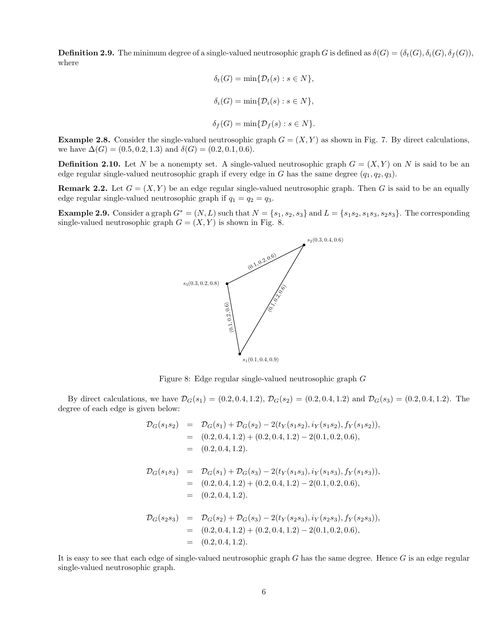**Definition 2.9.** The minimum degree of a single-valued neutrosophic graph G is defined as  $\delta(G) = (\delta_t(G), \delta_i(G), \delta_f(G)),$ where

$$
\delta_t(G) = \min\{\mathcal{D}_t(s) : s \in N\},\
$$
  

$$
\delta_i(G) = \min\{\mathcal{D}_i(s) : s \in N\},\
$$
  

$$
\delta_f(G) = \min\{\mathcal{D}_f(s) : s \in N\}.
$$

**Example 2.8.** Consider the single-valued neutrosophic graph  $G = (X, Y)$  as shown in Fig. 7. By direct calculations, we have  $\Delta(G) = (0.5, 0.2, 1.3)$  and  $\delta(G) = (0.2, 0.1, 0.6)$ .

**Definition 2.10.** Let N be a nonempty set. A single-valued neutrosophic graph  $G = (X, Y)$  on N is said to be an edge regular single-valued neutrosophic graph if every edge in G has the same degree  $(q_1, q_2, q_3)$ .

**Remark 2.2.** Let  $G = (X, Y)$  be an edge regular single-valued neutrosophic graph. Then G is said to be an equally edge regular single-valued neutrosophic graph if  $q_1 = q_2 = q_3$ .

Example 2.9. Consider a graph  $G^* = (N, L)$  such that  $N = \{s_1, s_2, s_3\}$  and  $L = \{s_1s_2, s_1s_3, s_2s_3\}$ . The corresponding single-valued neutrosophic graph  $G = (X, Y)$  is shown in Fig. 8.



Figure 8: Edge regular single-valued neutrosophic graph G

By direct calculations, we have  $\mathcal{D}_G(s_1) = (0.2, 0.4, 1.2), \mathcal{D}_G(s_2) = (0.2, 0.4, 1.2)$  and  $\mathcal{D}_G(s_3) = (0.2, 0.4, 1.2)$ . The degree of each edge is given below:

$$
\mathcal{D}_{G}(s_{1}s_{2}) = \mathcal{D}_{G}(s_{1}) + \mathcal{D}_{G}(s_{2}) - 2(t_{Y}(s_{1}s_{2}), i_{Y}(s_{1}s_{2}), f_{Y}(s_{1}s_{2})),
$$
\n
$$
= (0.2, 0.4, 1.2) + (0.2, 0.4, 1.2) - 2(0.1, 0.2, 0.6),
$$
\n
$$
= (0.2, 0.4, 1.2).
$$
\n
$$
\mathcal{D}_{G}(s_{1}s_{3}) = \mathcal{D}_{G}(s_{1}) + \mathcal{D}_{G}(s_{3}) - 2(t_{Y}(s_{1}s_{3}), i_{Y}(s_{1}s_{3}), f_{Y}(s_{1}s_{3})),
$$
\n
$$
= (0.2, 0.4, 1.2) + (0.2, 0.4, 1.2) - 2(0.1, 0.2, 0.6),
$$
\n
$$
= (0.2, 0.4, 1.2).
$$
\n
$$
\mathcal{D}_{G}(s_{2}s_{3}) = \mathcal{D}_{G}(s_{2}) + \mathcal{D}_{G}(s_{3}) - 2(t_{Y}(s_{2}s_{3}), i_{Y}(s_{2}s_{3}), f_{Y}(s_{2}s_{3})),
$$
\n
$$
= (0.2, 0.4, 1.2) + (0.2, 0.4, 1.2) - 2(0.1, 0.2, 0.6),
$$
\n
$$
= (0.2, 0.4, 1.2).
$$

It is easy to see that each edge of single-valued neutrosophic graph  $G$  has the same degree. Hence  $G$  is an edge regular single-valued neutrosophic graph.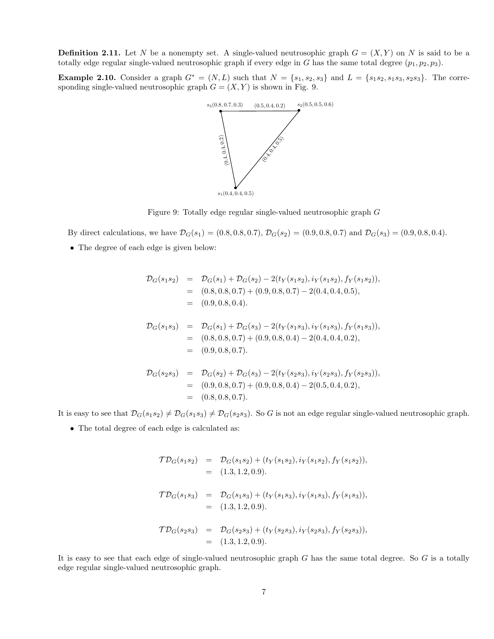**Definition 2.11.** Let N be a nonempty set. A single-valued neutrosophic graph  $G = (X, Y)$  on N is said to be a totally edge regular single-valued neutrosophic graph if every edge in G has the same total degree  $(p_1, p_2, p_3)$ .

**Example 2.10.** Consider a graph  $G^* = (N, L)$  such that  $N = \{s_1, s_2, s_3\}$  and  $L = \{s_1s_2, s_1s_3, s_2s_3\}$ . The corresponding single-valued neutrosophic graph  $G = (X, Y)$  is shown in Fig. 9.



Figure 9: Totally edge regular single-valued neutrosophic graph G

By direct calculations, we have  $\mathcal{D}_G(s_1) = (0.8, 0.8, 0.7), \mathcal{D}_G(s_2) = (0.9, 0.8, 0.7)$  and  $\mathcal{D}_G(s_3) = (0.9, 0.8, 0.4)$ .

• The degree of each edge is given below:

$$
\begin{array}{rcl}\n\mathcal{D}_G(s_1s_2) &=& \mathcal{D}_G(s_1) + \mathcal{D}_G(s_2) - 2(t_Y(s_1s_2), i_Y(s_1s_2), f_Y(s_1s_2)), \\
&=& (0.8, 0.8, 0.7) + (0.9, 0.8, 0.7) - 2(0.4, 0.4, 0.5), \\
&=& (0.9, 0.8, 0.4).\n\end{array}
$$
\n
$$
\begin{array}{rcl}\n\mathcal{D}_G(s_1s_3) &=& \mathcal{D}_G(s_1) + \mathcal{D}_G(s_3) - 2(t_Y(s_1s_3), i_Y(s_1s_3), f_Y(s_1s_3)), \\
&=& (0.8, 0.8, 0.7) + (0.9, 0.8, 0.4) - 2(0.4, 0.4, 0.2), \\
&=& (0.9, 0.8, 0.7).\n\end{array}
$$
\n
$$
\mathcal{D}_G(s_2s_3) &=& \mathcal{D}_G(s_2) + \mathcal{D}_G(s_3) - 2(t_Y(s_2s_3), i_Y(s_2s_3), f_Y(s_2s_3)), \\
&=& (0.9, 0.8, 0.7) + (0.9, 0.8, 0.4) - 2(0.5, 0.4, 0.2), \\
&=& (0.8, 0.8, 0.7).\n\end{array}
$$

It is easy to see that  $\mathcal{D}_G(s_1s_2) \neq \mathcal{D}_G(s_1s_3) \neq \mathcal{D}_G(s_2s_3)$ . So G is not an edge regular single-valued neutrosophic graph.

• The total degree of each edge is calculated as:

$$
\begin{aligned}\n\mathcal{T}\mathcal{D}_G(s_1s_2) &= \mathcal{D}_G(s_1s_2) + (t_Y(s_1s_2), i_Y(s_1s_2), f_Y(s_1s_2)), \\
&= (1.3, 1.2, 0.9).\n\end{aligned}
$$
\n
$$
\begin{aligned}\n\mathcal{T}\mathcal{D}_G(s_1s_3) &= \mathcal{D}_G(s_1s_3) + (t_Y(s_1s_3), i_Y(s_1s_3), f_Y(s_1s_3)), \\
&= (1.3, 1.2, 0.9).\n\end{aligned}
$$
\n
$$
\begin{aligned}\n\mathcal{T}\mathcal{D}_G(s_2s_3) &= \mathcal{D}_G(s_2s_3) + (t_Y(s_2s_3), i_Y(s_2s_3), f_Y(s_2s_3)), \\
&= (1.3, 1.2, 0.9).\n\end{aligned}
$$

It is easy to see that each edge of single-valued neutrosophic graph  $G$  has the same total degree. So  $G$  is a totally edge regular single-valued neutrosophic graph.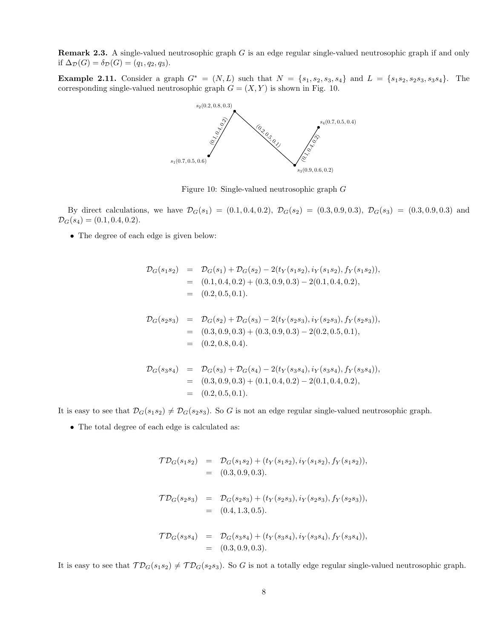Remark 2.3. A single-valued neutrosophic graph G is an edge regular single-valued neutrosophic graph if and only if  $\Delta_{\mathcal{D}}(G) = \delta_{\mathcal{D}}(G) = (q_1, q_2, q_3).$ 

Example 2.11. Consider a graph  $G^* = (N, L)$  such that  $N = \{s_1, s_2, s_3, s_4\}$  and  $L = \{s_1s_2, s_2s_3, s_3s_4\}$ . The corresponding single-valued neutrosophic graph  $G = (X, Y)$  is shown in Fig. 10.



Figure 10: Single-valued neutrosophic graph G

By direct calculations, we have  $\mathcal{D}_G(s_1) = (0.1, 0.4, 0.2), \ \mathcal{D}_G(s_2) = (0.3, 0.9, 0.3), \ \mathcal{D}_G(s_3) = (0.3, 0.9, 0.3)$  and  $\mathcal{D}_G(s_4) = (0.1, 0.4, 0.2).$ 

• The degree of each edge is given below:

$$
\begin{aligned}\n\mathcal{D}_G(s_1s_2) &= \mathcal{D}_G(s_1) + \mathcal{D}_G(s_2) - 2(t_Y(s_1s_2), i_Y(s_1s_2), f_Y(s_1s_2)), \\
&= (0.1, 0.4, 0.2) + (0.3, 0.9, 0.3) - 2(0.1, 0.4, 0.2), \\
&= (0.2, 0.5, 0.1).\n\end{aligned}
$$
\n
$$
\begin{aligned}\n\mathcal{D}_G(s_2s_3) &= \mathcal{D}_G(s_2) + \mathcal{D}_G(s_3) - 2(t_Y(s_2s_3), i_Y(s_2s_3), f_Y(s_2s_3)), \\
&= (0.3, 0.9, 0.3) + (0.3, 0.9, 0.3) - 2(0.2, 0.5, 0.1), \\
&= (0.2, 0.8, 0.4).\n\end{aligned}
$$
\n
$$
\mathcal{D}_G(s_3s_4) = \mathcal{D}_G(s_3) + \mathcal{D}_G(s_4) - 2(t_Y(s_3s_4), i_Y(s_3s_4), f_Y(s_3s_4)), \\
&= (0.3, 0.9, 0.3) + (0.1, 0.4, 0.2) - 2(0.1, 0.4, 0.2), \\
&= (0.2, 0.5, 0.1).\n\end{aligned}
$$

It is easy to see that  $\mathcal{D}_G(s_1s_2) \neq \mathcal{D}_G(s_2s_3)$ . So G is not an edge regular single-valued neutrosophic graph.

• The total degree of each edge is calculated as:

$$
\mathcal{T}\mathcal{D}_G(s_1s_2) = \mathcal{D}_G(s_1s_2) + (t_Y(s_1s_2), i_Y(s_1s_2), f_Y(s_1s_2)),
$$
  
= (0.3, 0.9, 0.3).

$$
\mathcal{T}\mathcal{D}_G(s_2s_3) = \mathcal{D}_G(s_2s_3) + (t_Y(s_2s_3), i_Y(s_2s_3), f_Y(s_2s_3)),
$$
  
= (0.4, 1.3, 0.5).

$$
\mathcal{T}\mathcal{D}_G(s_3s_4) = \mathcal{D}_G(s_3s_4) + (t_Y(s_3s_4), i_Y(s_3s_4), f_Y(s_3s_4)),
$$
  
= (0.3, 0.9, 0.3).

It is easy to see that  $TD_G(s_1s_2) \neq TD_G(s_2s_3)$ . So G is not a totally edge regular single-valued neutrosophic graph.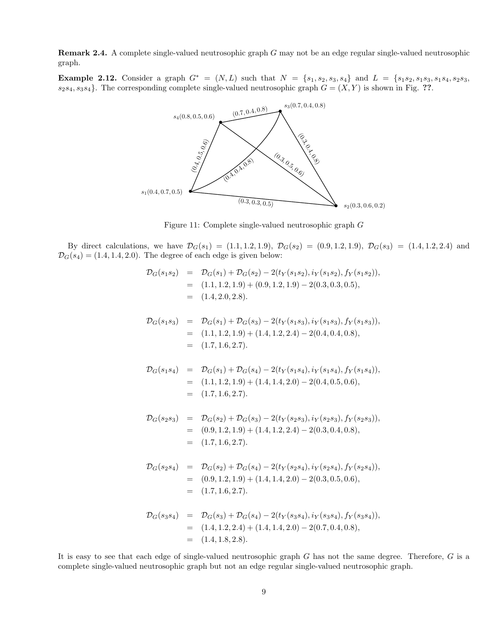Remark 2.4. A complete single-valued neutrosophic graph G may not be an edge regular single-valued neutrosophic graph.

Example 2.12. Consider a graph  $G^* = (N, L)$  such that  $N = \{s_1, s_2, s_3, s_4\}$  and  $L = \{s_1s_2, s_1s_3, s_1s_4, s_2s_3, s_3s_4\}$  $s_2s_4, s_3s_4$ . The corresponding complete single-valued neutrosophic graph  $G = (X, Y)$  is shown in Fig. ??.



Figure 11: Complete single-valued neutrosophic graph G

By direct calculations, we have  $\mathcal{D}_G(s_1) = (1.1, 1.2, 1.9), \ \mathcal{D}_G(s_2) = (0.9, 1.2, 1.9), \ \mathcal{D}_G(s_3) = (1.4, 1.2, 2.4)$  and  $\mathcal{D}_G(s_4) = (1.4, 1.4, 2.0)$ . The degree of each edge is given below:

$$
\mathcal{D}_G(s_1s_2) = \mathcal{D}_G(s_1) + \mathcal{D}_G(s_2) - 2(t_Y(s_1s_2), i_Y(s_1s_2), f_Y(s_1s_2)),
$$
  
= (1.1, 1.2, 1.9) + (0.9, 1.2, 1.9) - 2(0.3, 0.3, 0.5),  
= (1.4, 2.0, 2.8).

$$
\mathcal{D}_G(s_1s_3) = \mathcal{D}_G(s_1) + \mathcal{D}_G(s_3) - 2(t_Y(s_1s_3), i_Y(s_1s_3), f_Y(s_1s_3)),
$$
  
= (1.1, 1.2, 1.9) + (1.4, 1.2, 2.4) - 2(0.4, 0.4, 0.8),  
= (1.7, 1.6, 2.7).

$$
\mathcal{D}_G(s_1s_4) = \mathcal{D}_G(s_1) + \mathcal{D}_G(s_4) - 2(t_Y(s_1s_4), i_Y(s_1s_4), f_Y(s_1s_4)),
$$
  
= (1.1, 1.2, 1.9) + (1.4, 1.4, 2.0) - 2(0.4, 0.5, 0.6),  
= (1.7, 1.6, 2.7).

$$
\mathcal{D}_G(s_2s_3) = \mathcal{D}_G(s_2) + \mathcal{D}_G(s_3) - 2(t_Y(s_2s_3), i_Y(s_2s_3), f_Y(s_2s_3)),
$$
  
= (0.9, 1.2, 1.9) + (1.4, 1.2, 2.4) - 2(0.3, 0.4, 0.8),  
= (1.7, 1.6, 2.7).

$$
\mathcal{D}_G(s_2s_4) = \mathcal{D}_G(s_2) + \mathcal{D}_G(s_4) - 2(t_Y(s_2s_4), i_Y(s_2s_4), f_Y(s_2s_4)),
$$
  
= (0.9, 1.2, 1.9) + (1.4, 1.4, 2.0) - 2(0.3, 0.5, 0.6),  
= (1.7, 1.6, 2.7).

$$
\mathcal{D}_G(s_3s_4) = \mathcal{D}_G(s_3) + \mathcal{D}_G(s_4) - 2(t_Y(s_3s_4), i_Y(s_3s_4), f_Y(s_3s_4)),
$$
  
= (1.4, 1.2, 2.4) + (1.4, 1.4, 2.0) - 2(0.7, 0.4, 0.8),  
= (1.4, 1.8, 2.8).

It is easy to see that each edge of single-valued neutrosophic graph  $G$  has not the same degree. Therefore,  $G$  is a complete single-valued neutrosophic graph but not an edge regular single-valued neutrosophic graph.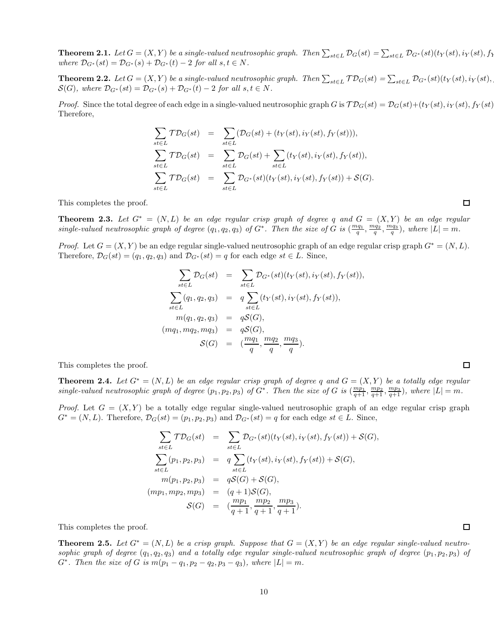**Theorem 2.1.** Let  $G = (X,Y)$  be a single-valued neutrosophic graph. Then  $\sum_{s t \in L} \mathcal{D}_G(st) = \sum_{s t \in L} \mathcal{D}_{G^*}(st)(t_Y(st), i_Y(st), f_Y(st))$ where  $D_{G^*}(st) = D_{G^*}(s) + D_{G^*}(t) - 2$  for all  $s, t \in N$ .

**Theorem 2.2.** Let  $G = (X, Y)$  be a single-valued neutrosophic graph. Then  $\sum_{s t \in L} \mathcal{TD}_G(st) = \sum_{s t \in L} \mathcal{D}_{G^*}(st)(t_Y(st), i_Y(st))$  $\mathcal{S}(G)$ , where  $\mathcal{D}_{G^*}(st) = \mathcal{D}_{G^*}(s) + \mathcal{D}_{G^*}(t) - 2$  for all  $s, t \in N$ .

*Proof.* Since the total degree of each edge in a single-valued neutrosophic graph G is  $\mathcal{TD}_G(st) = \mathcal{D}_G(st) + (t_Y(st), i_Y(st), f_Y(st))$ Therefore,

$$
\sum_{st \in L} \mathcal{TD}_G(st) = \sum_{st \in L} (\mathcal{D}_G(st) + (t_Y(st), i_Y(st), f_Y(st))),
$$
\n
$$
\sum_{st \in L} \mathcal{TD}_G(st) = \sum_{st \in L} \mathcal{D}_G(st) + \sum_{st \in L} (t_Y(st), i_Y(st), f_Y(st)),
$$
\n
$$
\sum_{st \in L} \mathcal{TD}_G(st) = \sum_{st \in L} \mathcal{D}_G*(st)(t_Y(st), i_Y(st), f_Y(st)) + \mathcal{S}(G).
$$

This completes the proof.

**Theorem 2.3.** Let  $G^* = (N, L)$  be an edge regular crisp graph of degree q and  $G = (X, Y)$  be an edge regular single-valued neutrosophic graph of degree  $(q_1, q_2, q_3)$  of  $G^*$ . Then the size of  $G$  is  $(\frac{mq_1}{q}, \frac{mq_2}{q}, \frac{mq_3}{q})$ , where  $|L| = m$ .

*Proof.* Let  $G = (X, Y)$  be an edge regular single-valued neutrosophic graph of an edge regular crisp graph  $G^* = (N, L)$ . Therefore,  $\mathcal{D}_G(st) = (q_1, q_2, q_3)$  and  $\mathcal{D}_{G^*}(st) = q$  for each edge  $st \in L$ . Since,

$$
\sum_{st \in L} \mathcal{D}_G(st) = \sum_{st \in L} \mathcal{D}_{G^*}(st)(t_Y(st), i_Y(st), f_Y(st)),
$$
\n
$$
\sum_{st \in L} (q_1, q_2, q_3) = q \sum_{st \in L} (t_Y(st), i_Y(st), f_Y(st)),
$$
\n
$$
m(q_1, q_2, q_3) = q\mathcal{S}(G),
$$
\n
$$
(mq_1, mq_2, mq_3) = q\mathcal{S}(G),
$$
\n
$$
\mathcal{S}(G) = (\frac{mq_1}{q}, \frac{mq_2}{q}, \frac{mq_3}{q}).
$$

This completes the proof.

**Theorem 2.4.** Let  $G^* = (N, L)$  be an edge regular crisp graph of degree q and  $G = (X, Y)$  be a totally edge regular single-valued neutrosophic graph of degree  $(p_1, p_2, p_3)$  of  $G^*$ . Then the size of G is  $(\frac{mp_1}{q+1}, \frac{mp_2}{q+1}, \frac{mp_3}{q+1})$ , where  $|L| = m$ .

*Proof.* Let  $G = (X, Y)$  be a totally edge regular single-valued neutrosophic graph of an edge regular crisp graph  $G^* = (N, L)$ . Therefore,  $\mathcal{D}_G(st) = (p_1, p_2, p_3)$  and  $\mathcal{D}_{G^*}(st) = q$  for each edge  $st \in L$ . Since,

$$
\sum_{st \in L} \mathcal{TD}_G(st) = \sum_{st \in L} \mathcal{D}_{G^*}(st)(t_Y(st), i_Y(st), f_Y(st)) + \mathcal{S}(G),
$$
  

$$
\sum_{st \in L} (p_1, p_2, p_3) = q \sum_{st \in L} (t_Y(st), i_Y(st), f_Y(st)) + \mathcal{S}(G),
$$
  

$$
m(p_1, p_2, p_3) = q\mathcal{S}(G) + \mathcal{S}(G),
$$
  

$$
(mp_1, mp_2, mp_3) = (q+1)\mathcal{S}(G),
$$
  

$$
\mathcal{S}(G) = (\frac{mp_1}{q+1}, \frac{mp_2}{q+1}, \frac{mp_3}{q+1}).
$$

This completes the proof.

**Theorem 2.5.** Let  $G^* = (N, L)$  be a crisp graph. Suppose that  $G = (X, Y)$  be an edge regular single-valued neutrosophic graph of degree  $(q_1, q_2, q_3)$  and a totally edge regular single-valued neutrosophic graph of degree  $(p_1, p_2, p_3)$  of  $G^*$ . Then the size of G is  $m(p_1 - q_1, p_2 - q_2, p_3 - q_3)$ , where  $|L| = m$ .

 $\Box$ 

 $\Box$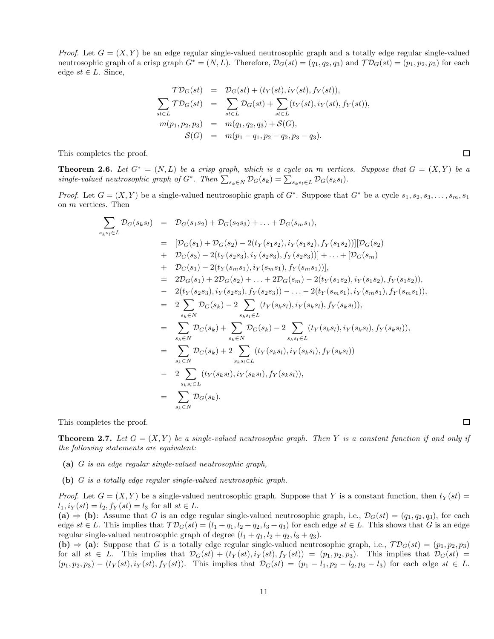*Proof.* Let  $G = (X, Y)$  be an edge regular single-valued neutrosophic graph and a totally edge regular single-valued neutrosophic graph of a crisp graph  $G^* = (N, L)$ . Therefore,  $\mathcal{D}_G(st) = (q_1, q_2, q_3)$  and  $\mathcal{TD}_G(st) = (p_1, p_2, p_3)$  for each edge  $st \in L$ . Since,

$$
\mathcal{TD}_G(st) = \mathcal{D}_G(st) + (t_Y(st), i_Y(st), f_Y(st)),
$$
  
\n
$$
\sum_{st \in L} \mathcal{TD}_G(st) = \sum_{st \in L} \mathcal{D}_G(st) + \sum_{st \in L} (t_Y(st), i_Y(st), f_Y(st)),
$$
  
\n
$$
m(p_1, p_2, p_3) = m(q_1, q_2, q_3) + \mathcal{S}(G),
$$
  
\n
$$
\mathcal{S}(G) = m(p_1 - q_1, p_2 - q_2, p_3 - q_3).
$$

This completes the proof.

**Theorem 2.6.** Let  $G^* = (N, L)$  be a crisp graph, which is a cycle on m vertices. Suppose that  $G = (X, Y)$  be a single-valued neutrosophic graph of  $G^*$ . Then  $\sum_{s_k \in N} \mathcal{D}_G(s_k) = \sum_{s_k s_l \in L} \mathcal{D}_G(s_k s_l)$ .

*Proof.* Let  $G = (X, Y)$  be a single-valued neutrosophic graph of  $G^*$ . Suppose that  $G^*$  be a cycle  $s_1, s_2, s_3, \ldots, s_m, s_1$ on m vertices. Then

$$
\sum_{s_{k}s_{l}\in L} \mathcal{D}_{G}(s_{k}s_{l}) = \mathcal{D}_{G}(s_{1}s_{2}) + \mathcal{D}_{G}(s_{2}s_{3}) + \ldots + \mathcal{D}_{G}(s_{m}s_{1}),
$$
\n
$$
= [\mathcal{D}_{G}(s_{1}) + \mathcal{D}_{G}(s_{2}) - 2(t_{Y}(s_{1}s_{2}), i_{Y}(s_{1}s_{2}), f_{Y}(s_{1}s_{2}))][\mathcal{D}_{G}(s_{2})
$$
\n
$$
+ \mathcal{D}_{G}(s_{3}) - 2(t_{Y}(s_{2}s_{3}), i_{Y}(s_{2}s_{3}), f_{Y}(s_{2}s_{3}))] + \ldots + [\mathcal{D}_{G}(s_{m})
$$
\n
$$
+ \mathcal{D}_{G}(s_{1}) - 2(t_{Y}(s_{m}s_{1}), i_{Y}(s_{m}s_{1}), f_{Y}(s_{m}s_{1}))],
$$
\n
$$
= 2\mathcal{D}_{G}(s_{1}) + 2\mathcal{D}_{G}(s_{2}) + \ldots + 2\mathcal{D}_{G}(s_{m}) - 2(t_{Y}(s_{1}s_{2}), i_{Y}(s_{1}s_{2}), f_{Y}(s_{1}s_{2}))
$$
\n
$$
- 2(t_{Y}(s_{2}s_{3}), i_{Y}(s_{2}s_{3}), f_{Y}(s_{2}s_{3})) - \ldots - 2(t_{Y}(s_{m}s_{1}), i_{Y}(s_{m}s_{1}), f_{Y}(s_{m}s_{1}))
$$
\n
$$
= 2 \sum_{s_{k}\in N} \mathcal{D}_{G}(s_{k}) - 2 \sum_{s_{k}s_{l}\in L} (t_{Y}(s_{k}s_{l}), i_{Y}(s_{k}s_{l}), f_{Y}(s_{k}s_{l}), f_{Y}(s_{k}s_{l}))
$$
\n
$$
= \sum_{s_{k}\in N} \mathcal{D}_{G}(s_{k}) + 2 \sum_{s_{k}s_{l}\in L} (t_{Y}(s_{k}s_{l}), i_{Y}(s_{k}s_{l}), f_{Y}(s_{k}s_{l}))
$$
\n
$$
= 2 \sum_{s_{k}\in N} (t_{Y}(s_{k}s_{l}), i_{Y}(s_{k}s_{l}), f_{Y}(s_{k}s_{l}))
$$
\n
$$
= \sum_{s_{k}\in N} \mathcal{D}_{G}(s_{k}).
$$

This completes the proof.

**Theorem 2.7.** Let  $G = (X, Y)$  be a single-valued neutrosophic graph. Then Y is a constant function if and only if the following statements are equivalent:

- (a) G is an edge regular single-valued neutrosophic graph,
- (b) G is a totally edge regular single-valued neutrosophic graph.

*Proof.* Let  $G = (X, Y)$  be a single-valued neutrosophic graph. Suppose that Y is a constant function, then  $t_Y(st)$  $l_1, i_Y(st) = l_2, f_Y(st) = l_3$  for all  $st \in L$ .

(a)  $\Rightarrow$  (b): Assume that G is an edge regular single-valued neutrosophic graph, i.e.,  $\mathcal{D}_G(st) = (q_1, q_2, q_3)$ , for each edge  $st \in L$ . This implies that  $\mathcal{TD}_G(st) = (l_1 + q_1, l_2 + q_2, l_3 + q_3)$  for each edge  $st \in L$ . This shows that G is an edge regular single-valued neutrosophic graph of degree  $(l_1 + q_1, l_2 + q_2, l_3 + q_3)$ .

(b)  $\Rightarrow$  (a): Suppose that G is a totally edge regular single-valued neutrosophic graph, i.e.,  $\mathcal{TD}_G(st) = (p_1, p_2, p_3)$ for all  $st \in L$ . This implies that  $\mathcal{D}_G(st) + (t_Y(st), i_Y(st), f_Y(st)) = (p_1, p_2, p_3)$ . This implies that  $\mathcal{D}_G(st)$  $(p_1, p_2, p_3) - (t_Y(st), i_Y(st), f_Y(st))$ . This implies that  $\mathcal{D}_G(st) = (p_1 - l_1, p_2 - l_2, p_3 - l_3)$  for each edge  $st \in L$ .

 $\Box$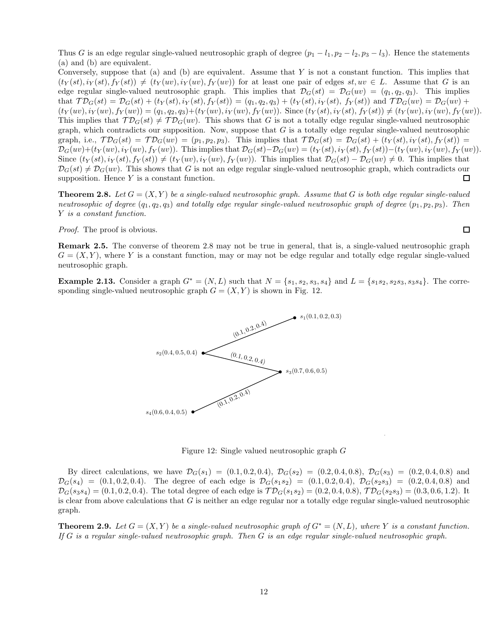Thus G is an edge regular single-valued neutrosophic graph of degree  $(p_1 - l_1, p_2 - l_2, p_3 - l_3)$ . Hence the statements (a) and (b) are equivalent.

Conversely, suppose that (a) and (b) are equivalent. Assume that  $Y$  is not a constant function. This implies that  $(t_Y(st), i_Y(st), f_Y(st)) \neq (t_Y(uv), i_Y(uv), f_Y(uv))$  for at least one pair of edges  $st, uv \in L$ . Assume that G is an edge regular single-valued neutrosophic graph. This implies that  $\mathcal{D}_G(st) = \mathcal{D}_G(uv) = (q_1, q_2, q_3)$ . This implies that  $\mathcal{TD}_G(st) = \mathcal{D}_G(st) + (t_Y(st), i_Y(st), f_Y(st)) = (q_1, q_2, q_3) + (t_Y(st), i_Y(st), f_Y(st))$  and  $\mathcal{TD}_G(uv) = \mathcal{D}_G(uv) +$  $(t_Y(uv), i_Y(uv), f_Y(uv)) = (q_1, q_2, q_3) + (t_Y(uv), i_Y(uv), f_Y(uv))$ . Since  $(t_Y(st), i_Y(st), f_Y(st)) \neq (t_Y(uv), i_Y(uv), f_Y(uv))$ . This implies that  $\mathcal{TD}_G(st) \neq \mathcal{TD}_G(uv)$ . This shows that G is not a totally edge regular single-valued neutrosophic graph, which contradicts our supposition. Now, suppose that  $G$  is a totally edge regular single-valued neutrosophic graph, i.e.,  $\mathcal{TD}_G(st) = \mathcal{TD}_G(wv) = (p_1, p_2, p_3)$ . This implies that  $\mathcal{TD}_G(st) = \mathcal{D}_G(st) + (t_Y(st), i_Y(st), f_Y(st)) =$  $\mathcal{D}_G(uv)+(t_Y(uv), i_Y(uv), f_Y(uv)).$  This implies that  $\mathcal{D}_G(st)-\mathcal{D}_G(uv)=(t_Y(st), i_Y(st), f_Y(st))-(t_Y(uv), i_Y(uv), f_Y(uv)).$ Since  $(t_Y(st), i_Y(st), f_Y(st)) \neq (t_Y(uv), i_Y(uv), f_Y(uv))$ . This implies that  $\mathcal{D}_G(st) - \mathcal{D}_G(uv) \neq 0$ . This implies that  $\mathcal{D}_G(st) \neq \mathcal{D}_G(uv)$ . This shows that G is not an edge regular single-valued neutrosophic graph, which contradicts our supposition. Hence  $Y$  is a constant function.  $\Box$ 

**Theorem 2.8.** Let  $G = (X, Y)$  be a single-valued neutrosophic graph. Assume that G is both edge regular single-valued neutrosophic of degree  $(q_1, q_2, q_3)$  and totally edge regular single-valued neutrosophic graph of degree  $(p_1, p_2, p_3)$ . Then Y is a constant function.

Proof. The proof is obvious.

Remark 2.5. The converse of theorem 2.8 may not be true in general, that is, a single-valued neutrosophic graph  $G = (X, Y)$ , where Y is a constant function, may or may not be edge regular and totally edge regular single-valued neutrosophic graph.

**Example 2.13.** Consider a graph  $G^* = (N, L)$  such that  $N = \{s_1, s_2, s_3, s_4\}$  and  $L = \{s_1s_2, s_2s_3, s_3s_4\}$ . The corresponding single-valued neutrosophic graph  $G = (X, Y)$  is shown in Fig. 12.



Figure 12: Single valued neutrosophic graph G

By direct calculations, we have  $\mathcal{D}_G(s_1) = (0.1, 0.2, 0.4), \mathcal{D}_G(s_2) = (0.2, 0.4, 0.8), \mathcal{D}_G(s_3) = (0.2, 0.4, 0.8)$  and  $\mathcal{D}_G(s_4) = (0.1, 0.2, 0.4)$ . The degree of each edge is  $\mathcal{D}_G(s_1s_2) = (0.1, 0.2, 0.4)$ ,  $\mathcal{D}_G(s_2s_3) = (0.2, 0.4, 0.8)$  and  $\mathcal{D}_G(s_3,s_4) = (0.1, 0.2, 0.4)$ . The total degree of each edge is  $\mathcal{TD}_G(s_1s_2) = (0.2, 0.4, 0.8), \mathcal{TD}_G(s_2s_3) = (0.3, 0.6, 1.2)$ . It is clear from above calculations that  $G$  is neither an edge regular nor a totally edge regular single-valued neutrosophic graph.

**Theorem 2.9.** Let  $G = (X, Y)$  be a single-valued neutrosophic graph of  $G^* = (N, L)$ , where Y is a constant function. If G is a regular single-valued neutrosophic graph. Then G is an edge regular single-valued neutrosophic graph.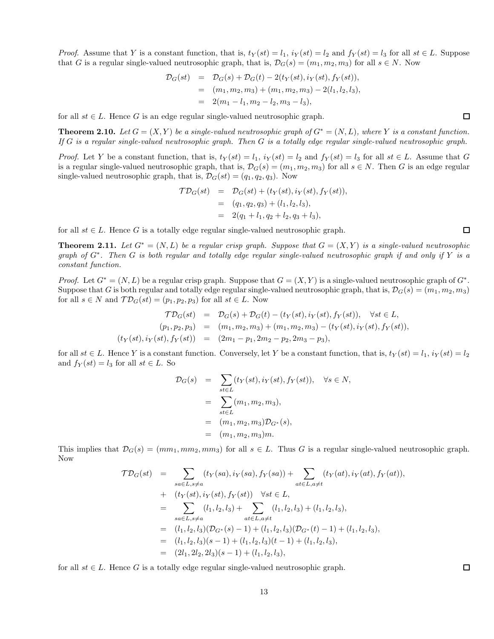*Proof.* Assume that Y is a constant function, that is,  $t_Y(st) = l_1$ ,  $i_Y(st) = l_2$  and  $f_Y(st) = l_3$  for all  $st \in L$ . Suppose that G is a regular single-valued neutrosophic graph, that is,  $\mathcal{D}_G(s) = (m_1, m_2, m_3)$  for all  $s \in N$ . Now

$$
D_G(st) = D_G(s) + D_G(t) - 2(t_Y(st), i_Y(st), f_Y(st)),
$$
  
=  $(m_1, m_2, m_3) + (m_1, m_2, m_3) - 2(l_1, l_2, l_3),$   
=  $2(m_1 - l_1, m_2 - l_2, m_3 - l_3),$ 

for all  $st \in L$ . Hence G is an edge regular single-valued neutrosophic graph.

**Theorem 2.10.** Let  $G = (X, Y)$  be a single-valued neutrosophic graph of  $G^* = (N, L)$ , where Y is a constant function. If G is a regular single-valued neutrosophic graph. Then G is a totally edge regular single-valued neutrosophic graph.

*Proof.* Let Y be a constant function, that is,  $t_Y(st) = l_1$ ,  $i_Y(st) = l_2$  and  $f_Y(st) = l_3$  for all  $st \in L$ . Assume that G is a regular single-valued neutrosophic graph, that is,  $\mathcal{D}_G(s) = (m_1, m_2, m_3)$  for all  $s \in N$ . Then G is an edge regular single-valued neutrosophic graph, that is,  $\mathcal{D}_G(st) = (q_1, q_2, q_3)$ . Now

$$
\begin{aligned}\n\mathcal{T}\mathcal{D}_G(st) &= \mathcal{D}_G(st) + (t_Y(st), i_Y(st), f_Y(st)), \\
&= (q_1, q_2, q_3) + (l_1, l_2, l_3), \\
&= 2(q_1 + l_1, q_2 + l_2, q_3 + l_3),\n\end{aligned}
$$

for all  $st \in L$ . Hence G is a totally edge regular single-valued neutrosophic graph.

**Theorem 2.11.** Let  $G^* = (N, L)$  be a regular crisp graph. Suppose that  $G = (X, Y)$  is a single-valued neutrosophic graph of  $G^*$ . Then G is both regular and totally edge regular single-valued neutrosophic graph if and only if Y is a constant function.

*Proof.* Let  $G^* = (N, L)$  be a regular crisp graph. Suppose that  $G = (X, Y)$  is a single-valued neutrosophic graph of  $G^*$ . Suppose that G is both regular and totally edge regular single-valued neutrosophic graph, that is,  $\mathcal{D}_G(s) = (m_1, m_2, m_3)$ for all  $s \in N$  and  $\mathcal{TD}_G(st) = (p_1, p_2, p_3)$  for all  $st \in L$ . Now

$$
\mathcal{TD}_G(st) = \mathcal{D}_G(s) + \mathcal{D}_G(t) - (t_Y(st), i_Y(st), f_Y(st)), \quad \forall st \in L,
$$
  
\n
$$
(p_1, p_2, p_3) = (m_1, m_2, m_3) + (m_1, m_2, m_3) - (t_Y(st), i_Y(st), f_Y(st)),
$$
  
\n
$$
(t_Y(st), i_Y(st), f_Y(st)) = (2m_1 - p_1, 2m_2 - p_2, 2m_3 - p_3),
$$

for all  $st \in L$ . Hence Y is a constant function. Conversely, let Y be a constant function, that is,  $t_Y(st) = l_1$ ,  $i_Y(st) = l_2$ and  $f_Y(st) = l_3$  for all  $st \in L$ . So

$$
\mathcal{D}_G(s) = \sum_{st \in L} (t_Y(st), i_Y(st), f_Y(st)), \quad \forall s \in N,
$$
  
= 
$$
\sum_{st \in L} (m_1, m_2, m_3),
$$
  
= 
$$
(m_1, m_2, m_3) \mathcal{D}_{G^*}(s),
$$
  
= 
$$
(m_1, m_2, m_3) m.
$$

This implies that  $\mathcal{D}_G(s) = (mm_1, mm_2, mm_3)$  for all  $s \in L$ . Thus G is a regular single-valued neutrosophic graph. Now

$$
\mathcal{TD}_G(st) = \sum_{sa \in L, s \neq a} (t_Y(sa), i_Y(sa), f_Y(sa)) + \sum_{at \in L, a \neq t} (t_Y(at), i_Y(at), f_Y(at)),
$$
  
+ 
$$
(t_Y(st), i_Y(st), f_Y(st)) \quad \forall st \in L,
$$
  
= 
$$
\sum_{sa \in L, s \neq a} (l_1, l_2, l_3) + \sum_{at \in L, a \neq t} (l_1, l_2, l_3) + (l_1, l_2, l_3),
$$
  
= 
$$
(l_1, l_2, l_3)(\mathcal{D}_{G^*}(s) - 1) + (l_1, l_2, l_3)(\mathcal{D}_{G^*}(t) - 1) + (l_1, l_2, l_3),
$$
  
= 
$$
(l_1, l_2, l_3)(s - 1) + (l_1, l_2, l_3)(t - 1) + (l_1, l_2, l_3),
$$
  
= 
$$
(2l_1, 2l_2, 2l_3)(s - 1) + (l_1, l_2, l_3),
$$

for all  $st \in L$ . Hence G is a totally edge regular single-valued neutrosophic graph.

 $\Box$ 

 $\Box$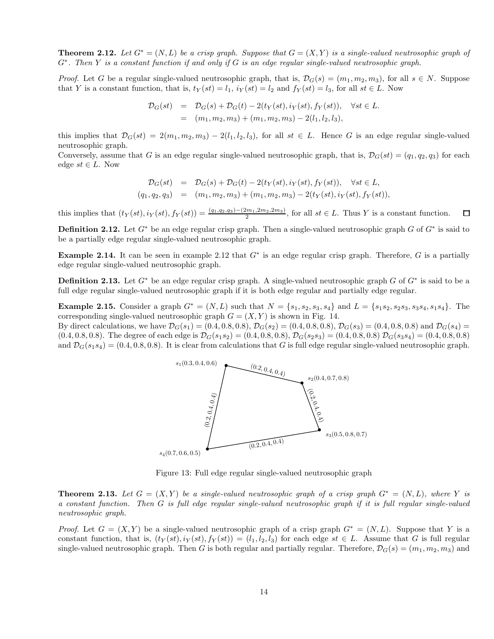**Theorem 2.12.** Let  $G^* = (N, L)$  be a crisp graph. Suppose that  $G = (X, Y)$  is a single-valued neutrosophic graph of G<sup>\*</sup>. Then Y is a constant function if and only if G is an edge regular single-valued neutrosophic graph.

*Proof.* Let G be a regular single-valued neutrosophic graph, that is,  $\mathcal{D}_G(s) = (m_1, m_2, m_3)$ , for all  $s \in N$ . Suppose that Y is a constant function, that is,  $t_Y(st) = l_1$ ,  $i_Y(st) = l_2$  and  $f_Y(st) = l_3$ , for all  $st \in L$ . Now

$$
\mathcal{D}_G(st) = \mathcal{D}_G(s) + \mathcal{D}_G(t) - 2(t_Y(st), i_Y(st), f_Y(st)), \quad \forall st \in L.
$$
  
=  $(m_1, m_2, m_3) + (m_1, m_2, m_3) - 2(l_1, l_2, l_3),$ 

this implies that  $\mathcal{D}_G(st) = 2(m_1, m_2, m_3) - 2(l_1, l_2, l_3)$ , for all  $st \in L$ . Hence G is an edge regular single-valued neutrosophic graph.

Conversely, assume that G is an edge regular single-valued neutrosophic graph, that is,  $\mathcal{D}_G(st) = (q_1, q_2, q_3)$  for each edge  $st \in L$ . Now

$$
\mathcal{D}_G(st) = \mathcal{D}_G(s) + \mathcal{D}_G(t) - 2(t_Y(st), i_Y(st), f_Y(st)), \quad \forall st \in L,
$$
  
(q<sub>1</sub>, q<sub>2</sub>, q<sub>3</sub>) = (m<sub>1</sub>, m<sub>2</sub>, m<sub>3</sub>) + (m<sub>1</sub>, m<sub>2</sub>, m<sub>3</sub>) - 2(t<sub>Y</sub>(st), i<sub>Y</sub>(st), f<sub>Y</sub>(st)),

this implies that  $(t_Y(st), i_Y(st), f_Y(st)) = \frac{(q_1,q_2,q_3) - (2m_1,2m_2,2m_3)}{2}$ , for all  $st \in L$ . Thus Y is a constant function.  $\Box$ 

**Definition 2.12.** Let  $G^*$  be an edge regular crisp graph. Then a single-valued neutrosophic graph  $G$  of  $G^*$  is said to be a partially edge regular single-valued neutrosophic graph.

Example 2.14. It can be seen in example 2.12 that  $G^*$  is an edge regular crisp graph. Therefore, G is a partially edge regular single-valued neutrosophic graph.

**Definition 2.13.** Let  $G^*$  be an edge regular crisp graph. A single-valued neutrosophic graph  $G$  of  $G^*$  is said to be a full edge regular single-valued neutrosophic graph if it is both edge regular and partially edge regular.

**Example 2.15.** Consider a graph  $G^* = (N, L)$  such that  $N = \{s_1, s_2, s_3, s_4\}$  and  $L = \{s_1s_2, s_2s_3, s_3s_4, s_1s_4\}$ . The corresponding single-valued neutrosophic graph  $G = (X, Y)$  is shown in Fig. 14. By direct calculations, we have  $\mathcal{D}_G(s_1) = (0.4, 0.8, 0.8), \mathcal{D}_G(s_2) = (0.4, 0.8, 0.8), \mathcal{D}_G(s_3) = (0.4, 0.8, 0.8)$  and  $\mathcal{D}_G(s_4) =$  $(0.4, 0.8, 0.8)$ . The degree of each edge is  $\mathcal{D}_G(s_1s_2) = (0.4, 0.8, 0.8), \mathcal{D}_G(s_2s_3) = (0.4, 0.8, 0.8) \mathcal{D}_G(s_3s_4) = (0.4, 0.8, 0.8)$ and  $\mathcal{D}_G(s_1s_4) = (0.4, 0.8, 0.8)$ . It is clear from calculations that G is full edge regular single-valued neutrosophic graph.



Figure 13: Full edge regular single-valued neutrosophic graph

**Theorem 2.13.** Let  $G = (X, Y)$  be a single-valued neutrosophic graph of a crisp graph  $G^* = (N, L)$ , where Y is a constant function. Then G is full edge regular single-valued neutrosophic graph if it is full regular single-valued neutrosophic graph.

*Proof.* Let  $G = (X, Y)$  be a single-valued neutrosophic graph of a crisp graph  $G^* = (N, L)$ . Suppose that Y is a constant function, that is,  $(t_Y(st), i_Y(st), f_Y(st)) = (l_1, l_2, l_3)$  for each edge  $st \in L$ . Assume that G is full regular single-valued neutrosophic graph. Then G is both regular and partially regular. Therefore,  $\mathcal{D}_G(s) = (m_1, m_2, m_3)$  and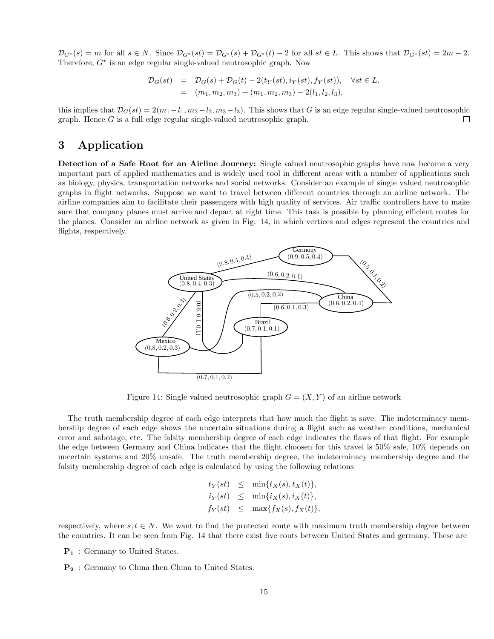$\mathcal{D}_{G^*}(s) = m$  for all  $s \in N$ . Since  $\mathcal{D}_{G^*}(st) = \mathcal{D}_{G^*}(s) + \mathcal{D}_{G^*}(t) - 2$  for all  $st \in L$ . This shows that  $\mathcal{D}_{G^*}(st) = 2m - 2$ . Therefore, G<sup>∗</sup> is an edge regular single-valued neutrosophic graph. Now

$$
\mathcal{D}_G(st) = \mathcal{D}_G(s) + \mathcal{D}_G(t) - 2(t_Y(st), i_Y(st), f_Y(st)), \quad \forall st \in L.
$$
  
=  $(m_1, m_2, m_3) + (m_1, m_2, m_3) - 2(l_1, l_2, l_3),$ 

this implies that  $\mathcal{D}_G(st) = 2(m_1 - l_1, m_2 - l_2, m_3 - l_3)$ . This shows that G is an edge regular single-valued neutrosophic graph. Hence G is a full edge regular single-valued neutrosophic graph.  $\Box$ 

# 3 Application

Detection of a Safe Root for an Airline Journey: Single valued neutrosophic graphs have now become a very important part of applied mathematics and is widely used tool in different areas with a number of applications such as biology, physics, transportation networks and social networks. Consider an example of single valued neutrosophic graphs in flight networks. Suppose we want to travel between different countries through an airline network. The airline companies aim to facilitate their passengers with high quality of services. Air traffic controllers have to make sure that company planes must arrive and depart at right time. This task is possible by planning efficient routes for the planes. Consider an airline network as given in Fig. 14, in which vertices and edges represent the countries and flights, respectively.



Figure 14: Single valued neutrosophic graph  $G = (X, Y)$  of an airline network

The truth membership degree of each edge interprets that how much the flight is save. The indeterminacy membership degree of each edge shows the uncertain situations during a flight such as weather conditions, mechanical error and sabotage, etc. The falsity membership degree of each edge indicates the flaws of that flight. For example the edge between Germany and China indicates that the flight choosen for this travel is 50% safe, 10% depends on uncertain systems and 20% unsafe. The truth membership degree, the indeterminacy membership degree and the falsity membership degree of each edge is calculated by using the following relations

$$
t_Y(st) \leq \min\{t_X(s), t_X(t)\},
$$
  

$$
i_Y(st) \leq \min\{i_X(s), i_X(t)\},
$$
  

$$
f_Y(st) \leq \max\{f_X(s), f_X(t)\},
$$

respectively, where  $s, t \in N$ . We want to find the protected route with maximum truth membership degree between the countries. It can be seen from Fig. 14 that there exist five routs between United States and germany. These are

P<sup>1</sup> : Germany to United States.

P<sup>2</sup> : Germany to China then China to United States.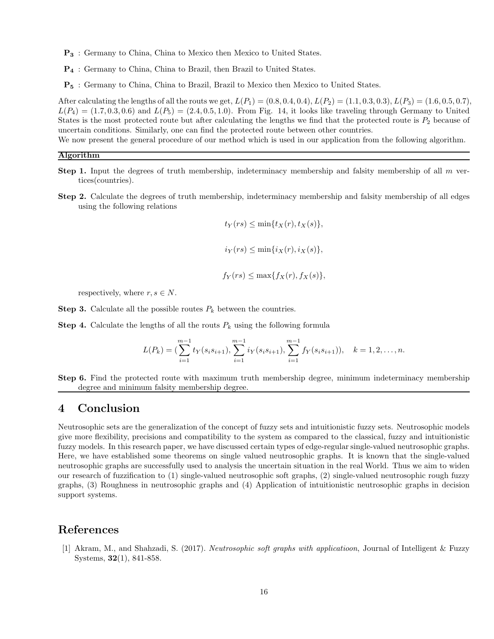- P<sup>3</sup> : Germany to China, China to Mexico then Mexico to United States.
- P<sup>4</sup> : Germany to China, China to Brazil, then Brazil to United States.
- P<sup>5</sup> : Germany to China, China to Brazil, Brazil to Mexico then Mexico to United States.

After calculating the lengths of all the routs we get,  $L(P_1) = (0.8, 0.4, 0.4), L(P_2) = (1.1, 0.3, 0.3), L(P_3) = (1.6, 0.5, 0.7),$  $L(P_4) = (1.7, 0.3, 0.6)$  and  $L(P_5) = (2.4, 0.5, 1.0)$ . From Fig. 14, it looks like traveling through Germany to United States is the most protected route but after calculating the lengths we find that the protected route is  $P_2$  because of uncertain conditions. Similarly, one can find the protected route between other countries.

We now present the general procedure of our method which is used in our application from the following algorithm.

#### Algorithm

- **Step 1.** Input the degrees of truth membership, indeterminacy membership and falsity membership of all  $m$  vertices(countries).
- Step 2. Calculate the degrees of truth membership, indeterminacy membership and falsity membership of all edges using the following relations

$$
t_Y(rs) \le \min\{t_X(r), t_X(s)\},
$$
  

$$
i_Y(rs) \le \min\{i_X(r), i_X(s)\},
$$

 $f_Y(rs) \le \max\{f_X(r), f_X(s)\},$ 

respectively, where  $r, s \in N$ .

**Step 3.** Calculate all the possible routes  $P_k$  between the countries.

**Step 4.** Calculate the lengths of all the routs  $P_k$  using the following formula

$$
L(P_k) = \left(\sum_{i=1}^{m-1} t_Y(s_i s_{i+1}), \sum_{i=1}^{m-1} i_Y(s_i s_{i+1}), \sum_{i=1}^{m-1} f_Y(s_i s_{i+1})\right), \quad k = 1, 2, \dots, n.
$$

Step 6. Find the protected route with maximum truth membership degree, minimum indeterminacy membership degree and minimum falsity membership degree.

### 4 Conclusion

Neutrosophic sets are the generalization of the concept of fuzzy sets and intuitionistic fuzzy sets. Neutrosophic models give more flexibility, precisions and compatibility to the system as compared to the classical, fuzzy and intuitionistic fuzzy models. In this research paper, we have discussed certain types of edge-regular single-valued neutrosophic graphs. Here, we have established some theorems on single valued neutrosophic graphs. It is known that the single-valued neutrosophic graphs are successfully used to analysis the uncertain situation in the real World. Thus we aim to widen our research of fuzzification to (1) single-valued neutrosophic soft graphs, (2) single-valued neutrosophic rough fuzzy graphs, (3) Roughness in neutrosophic graphs and (4) Application of intuitionistic neutrosophic graphs in decision support systems.

# References

[1] Akram, M., and Shahzadi, S. (2017). Neutrosophic soft graphs with applicatioon, Journal of Intelligent & Fuzzy Systems, 32(1), 841-858.